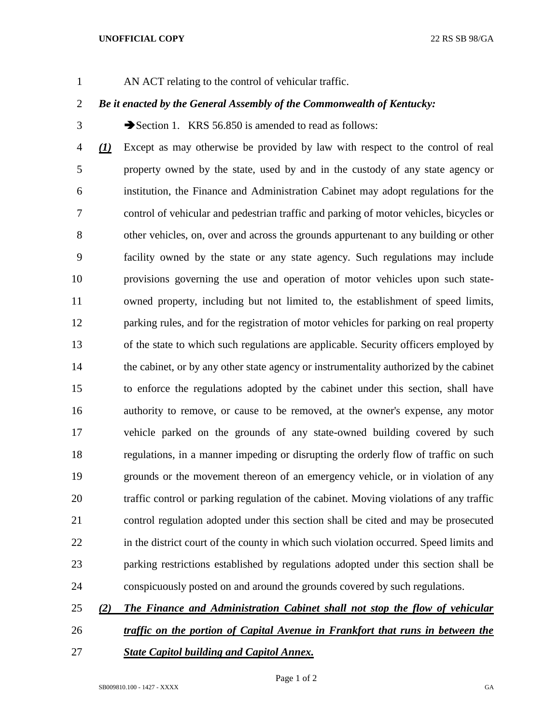## **UNOFFICIAL COPY** 22 RS SB 98/GA

AN ACT relating to the control of vehicular traffic.

## *Be it enacted by the General Assembly of the Commonwealth of Kentucky:*

3 Section 1. KRS 56.850 is amended to read as follows:

 *(1)* Except as may otherwise be provided by law with respect to the control of real property owned by the state, used by and in the custody of any state agency or institution, the Finance and Administration Cabinet may adopt regulations for the control of vehicular and pedestrian traffic and parking of motor vehicles, bicycles or other vehicles, on, over and across the grounds appurtenant to any building or other facility owned by the state or any state agency. Such regulations may include provisions governing the use and operation of motor vehicles upon such state- owned property, including but not limited to, the establishment of speed limits, parking rules, and for the registration of motor vehicles for parking on real property of the state to which such regulations are applicable. Security officers employed by 14 the cabinet, or by any other state agency or instrumentality authorized by the cabinet to enforce the regulations adopted by the cabinet under this section, shall have authority to remove, or cause to be removed, at the owner's expense, any motor vehicle parked on the grounds of any state-owned building covered by such regulations, in a manner impeding or disrupting the orderly flow of traffic on such grounds or the movement thereon of an emergency vehicle, or in violation of any traffic control or parking regulation of the cabinet. Moving violations of any traffic control regulation adopted under this section shall be cited and may be prosecuted 22 in the district court of the county in which such violation occurred. Speed limits and parking restrictions established by regulations adopted under this section shall be conspicuously posted on and around the grounds covered by such regulations.

## *(2) The Finance and Administration Cabinet shall not stop the flow of vehicular*

- *traffic on the portion of Capital Avenue in Frankfort that runs in between the*
- *State Capitol building and Capitol Annex.*